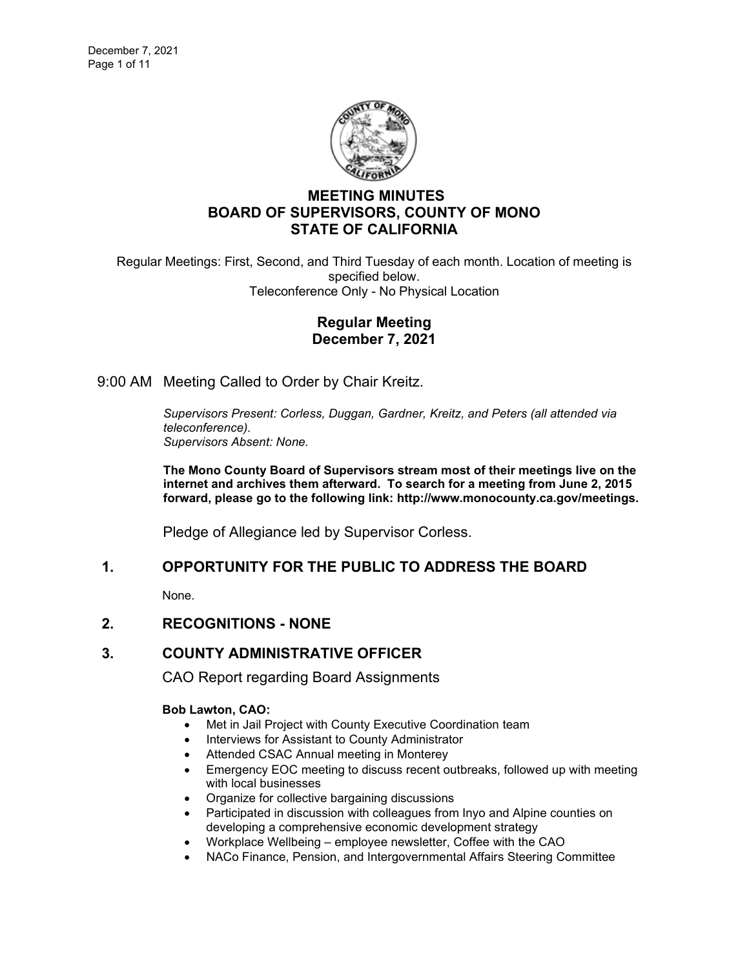

# **MEETING MINUTES BOARD OF SUPERVISORS, COUNTY OF MONO STATE OF CALIFORNIA**

Regular Meetings: First, Second, and Third Tuesday of each month. Location of meeting is specified below. Teleconference Only - No Physical Location

### **Regular Meeting December 7, 2021**

9:00 AM Meeting Called to Order by Chair Kreitz.

*Supervisors Present: Corless, Duggan, Gardner, Kreitz, and Peters (all attended via teleconference). Supervisors Absent: None.*

**The Mono County Board of Supervisors stream most of their meetings live on the internet and archives them afterward. To search for a meeting from June 2, 2015 forward, please go to the following link: [http://www.monocounty.ca.gov/meetings.](http://www.monocounty.ca.gov/meetings)**

Pledge of Allegiance led by Supervisor Corless.

## **1. OPPORTUNITY FOR THE PUBLIC TO ADDRESS THE BOARD**

None.

## **2. RECOGNITIONS - NONE**

## **3. COUNTY ADMINISTRATIVE OFFICER**

CAO Report regarding Board Assignments

#### **Bob Lawton, CAO:**

- Met in Jail Project with County Executive Coordination team
- Interviews for Assistant to County Administrator
- Attended CSAC Annual meeting in Monterey
- Emergency EOC meeting to discuss recent outbreaks, followed up with meeting with local businesses
- Organize for collective bargaining discussions
- Participated in discussion with colleagues from Inyo and Alpine counties on developing a comprehensive economic development strategy
- Workplace Wellbeing employee newsletter, Coffee with the CAO
- NACo Finance, Pension, and Intergovernmental Affairs Steering Committee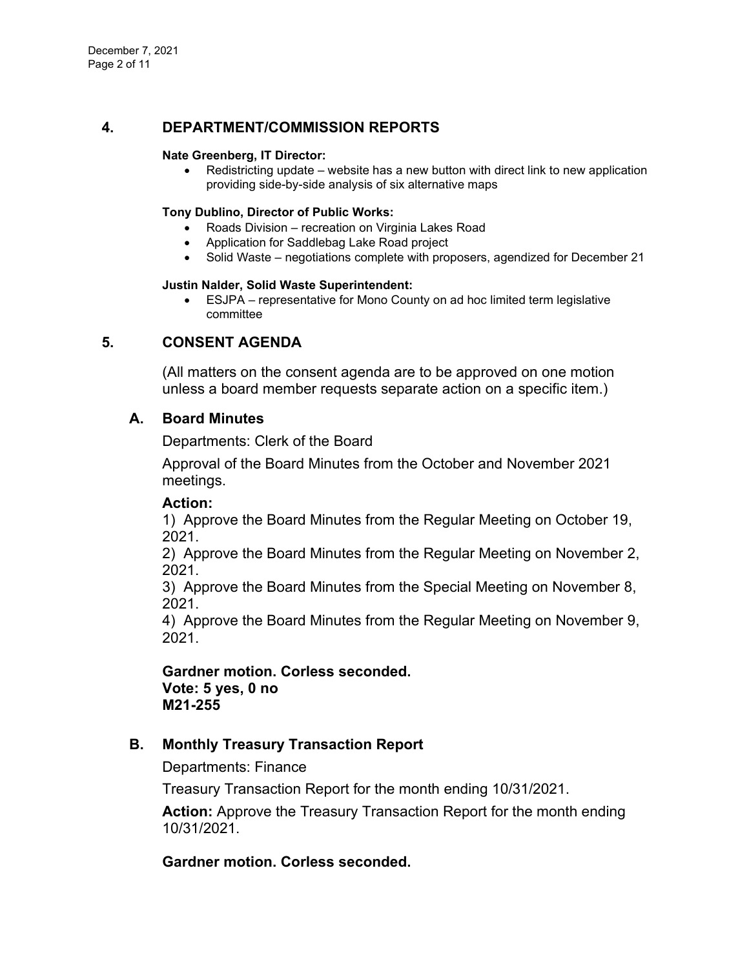## **4. DEPARTMENT/COMMISSION REPORTS**

#### **Nate Greenberg, IT Director:**

• Redistricting update – website has a new button with direct link to new application providing side-by-side analysis of six alternative maps

### **Tony Dublino, Director of Public Works:**

- Roads Division recreation on Virginia Lakes Road
- Application for Saddlebag Lake Road project
- Solid Waste negotiations complete with proposers, agendized for December 21

#### **Justin Nalder, Solid Waste Superintendent:**

• ESJPA – representative for Mono County on ad hoc limited term legislative committee

# **5. CONSENT AGENDA**

(All matters on the consent agenda are to be approved on one motion unless a board member requests separate action on a specific item.)

## **A. [Board Minutes](https://agenda.mono.ca.gov/AgendaWeb/CoverSheet.aspx?ItemID=13742&MeetingID=811)**

Departments: Clerk of the Board

Approval of the Board Minutes from the October and November 2021 meetings.

### **Action:**

1) Approve the Board Minutes from the Regular Meeting on October 19, 2021.

2) Approve the Board Minutes from the Regular Meeting on November 2, 2021.

3) Approve the Board Minutes from the Special Meeting on November 8, 2021.

4) Approve the Board Minutes from the Regular Meeting on November 9, 2021.

**Gardner motion. Corless seconded. Vote: 5 yes, 0 no M21-255**

## **B. [Monthly Treasury Transaction Report](https://agenda.mono.ca.gov/AgendaWeb/CoverSheet.aspx?ItemID=13755&MeetingID=811)**

Departments: Finance

Treasury Transaction Report for the month ending 10/31/2021.

**Action:** Approve the Treasury Transaction Report for the month ending 10/31/2021.

**Gardner motion. Corless seconded.**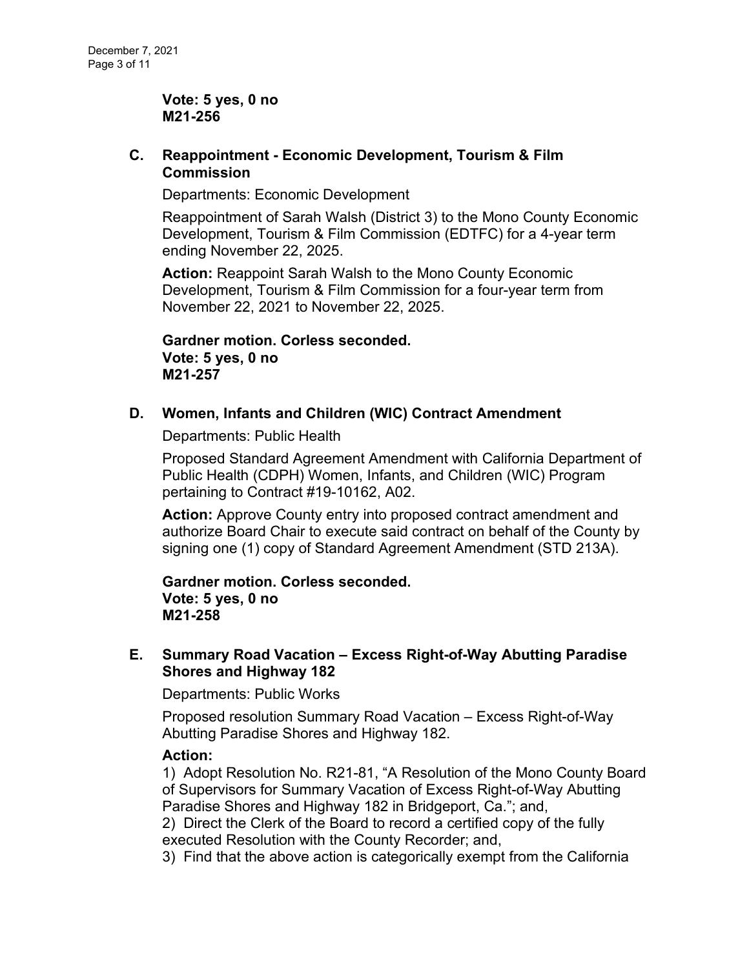**Vote: 5 yes, 0 no M21-256**

## **C. Reappointment - [Economic Development, Tourism & Film](https://agenda.mono.ca.gov/AgendaWeb/CoverSheet.aspx?ItemID=13774&MeetingID=811)  [Commission](https://agenda.mono.ca.gov/AgendaWeb/CoverSheet.aspx?ItemID=13774&MeetingID=811)**

Departments: Economic Development

Reappointment of Sarah Walsh (District 3) to the Mono County Economic Development, Tourism & Film Commission (EDTFC) for a 4-year term ending November 22, 2025.

**Action:** Reappoint Sarah Walsh to the Mono County Economic Development, Tourism & Film Commission for a four-year term from November 22, 2021 to November 22, 2025.

**Gardner motion. Corless seconded. Vote: 5 yes, 0 no M21-257**

## **D. [Women, Infants and Children \(WIC\) Contract Amendment](https://agenda.mono.ca.gov/AgendaWeb/CoverSheet.aspx?ItemID=13749&MeetingID=811)**

Departments: Public Health

Proposed Standard Agreement Amendment with California Department of Public Health (CDPH) Women, Infants, and Children (WIC) Program pertaining to Contract #19-10162, A02.

**Action:** Approve County entry into proposed contract amendment and authorize Board Chair to execute said contract on behalf of the County by signing one (1) copy of Standard Agreement Amendment (STD 213A).

**Gardner motion. Corless seconded. Vote: 5 yes, 0 no M21-258**

## **E. Summary Road Vacation – [Excess Right-of-Way Abutting Paradise](https://agenda.mono.ca.gov/AgendaWeb/CoverSheet.aspx?ItemID=13759&MeetingID=811)  [Shores and Highway 182](https://agenda.mono.ca.gov/AgendaWeb/CoverSheet.aspx?ItemID=13759&MeetingID=811)**

Departments: Public Works

Proposed resolution Summary Road Vacation – Excess Right-of-Way Abutting Paradise Shores and Highway 182.

## **Action:**

1) Adopt Resolution No. R21-81, "A Resolution of the Mono County Board of Supervisors for Summary Vacation of Excess Right-of-Way Abutting Paradise Shores and Highway 182 in Bridgeport, Ca."; and,

2) Direct the Clerk of the Board to record a certified copy of the fully executed Resolution with the County Recorder; and,

3) Find that the above action is categorically exempt from the California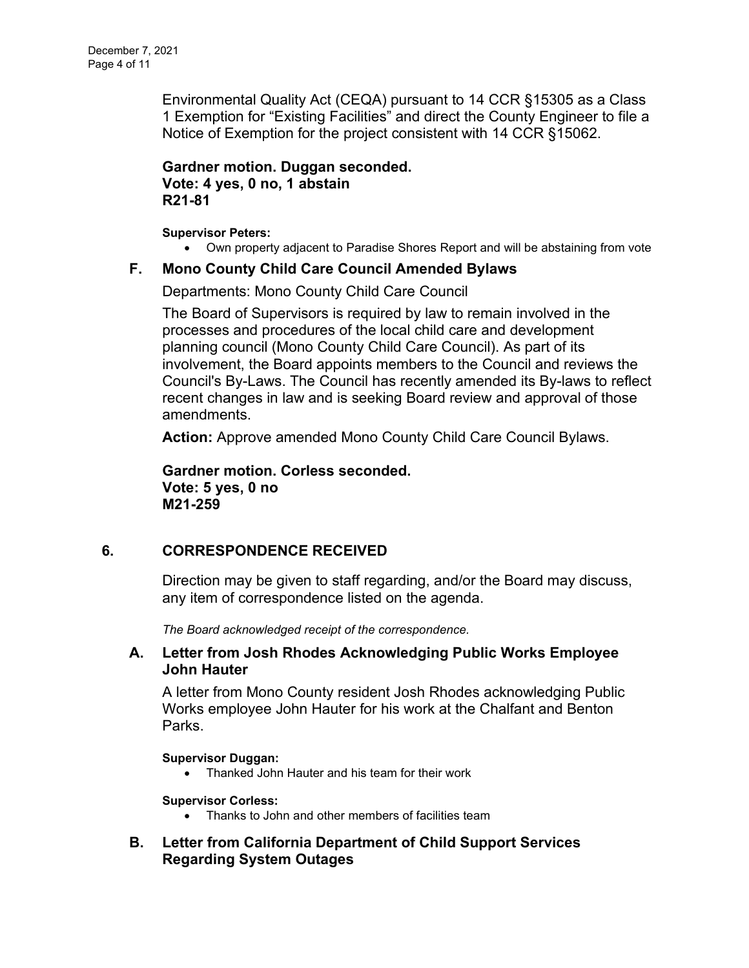Environmental Quality Act (CEQA) pursuant to 14 CCR §15305 as a Class 1 Exemption for "Existing Facilities" and direct the County Engineer to file a Notice of Exemption for the project consistent with 14 CCR §15062.

**Gardner motion. Duggan seconded. Vote: 4 yes, 0 no, 1 abstain R21-81**

**Supervisor Peters:**

• Own property adjacent to Paradise Shores Report and will be abstaining from vote

### **F. [Mono County Child Care Council Amended Bylaws](https://agenda.mono.ca.gov/AgendaWeb/CoverSheet.aspx?ItemID=13761&MeetingID=811)**

Departments: Mono County Child Care Council

The Board of Supervisors is required by law to remain involved in the processes and procedures of the local child care and development planning council (Mono County Child Care Council). As part of its involvement, the Board appoints members to the Council and reviews the Council's By-Laws. The Council has recently amended its By-laws to reflect recent changes in law and is seeking Board review and approval of those amendments.

**Action:** Approve amended Mono County Child Care Council Bylaws.

**Gardner motion. Corless seconded. Vote: 5 yes, 0 no M21-259**

## **6. CORRESPONDENCE RECEIVED**

Direction may be given to staff regarding, and/or the Board may discuss, any item of correspondence listed on the agenda.

*The Board acknowledged receipt of the correspondence.*

### **A. [Letter from Josh Rhodes Acknowledging Public Works Employee](https://agenda.mono.ca.gov/AgendaWeb/CoverSheet.aspx?ItemID=13783&MeetingID=811)  [John Hauter](https://agenda.mono.ca.gov/AgendaWeb/CoverSheet.aspx?ItemID=13783&MeetingID=811)**

A letter from Mono County resident Josh Rhodes acknowledging Public Works employee John Hauter for his work at the Chalfant and Benton Parks.

#### **Supervisor Duggan:**

• Thanked John Hauter and his team for their work

### **Supervisor Corless:**

- Thanks to John and other members of facilities team
- **B. [Letter from California Department of Child Support Services](https://agenda.mono.ca.gov/AgendaWeb/CoverSheet.aspx?ItemID=13786&MeetingID=811)  [Regarding System Outages](https://agenda.mono.ca.gov/AgendaWeb/CoverSheet.aspx?ItemID=13786&MeetingID=811)**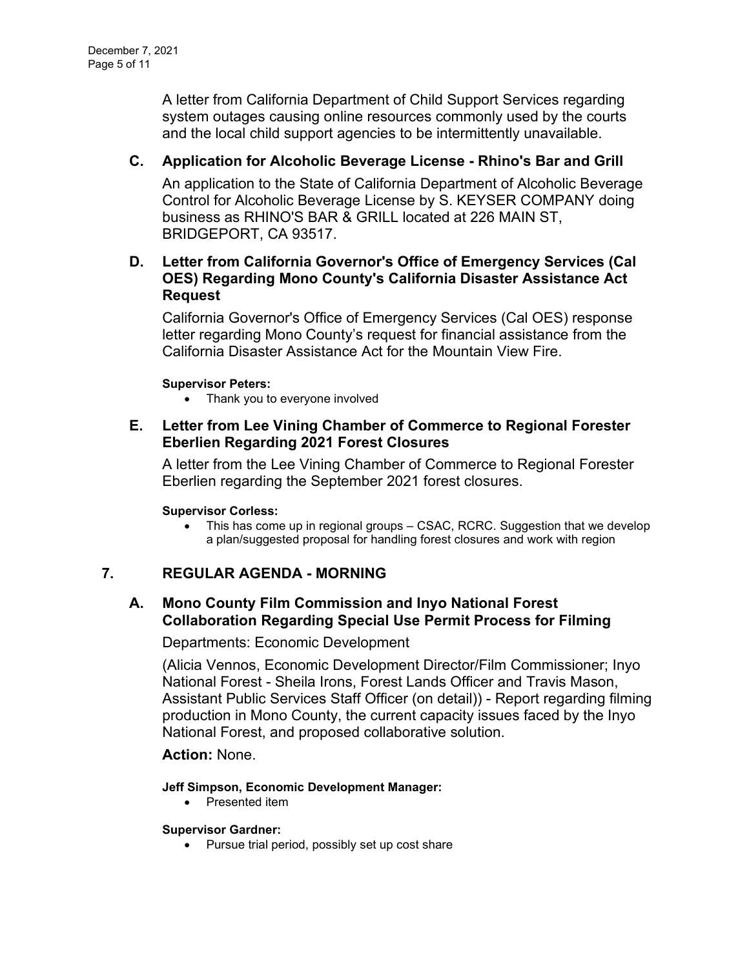A letter from California Department of Child Support Services regarding system outages causing online resources commonly used by the courts and the local child support agencies to be intermittently unavailable.

# **C. [Application for Alcoholic Beverage License -](https://agenda.mono.ca.gov/AgendaWeb/CoverSheet.aspx?ItemID=13788&MeetingID=811) Rhino's Bar and Grill**

An application to the State of California Department of Alcoholic Beverage Control for Alcoholic Beverage License by S. KEYSER COMPANY doing business as RHINO'S BAR & GRILL located at 226 MAIN ST, BRIDGEPORT, CA 93517.

## **D. [Letter from California Governor's Office of Emergency Services \(Cal](https://agenda.mono.ca.gov/AgendaWeb/CoverSheet.aspx?ItemID=13790&MeetingID=811)  [OES\) Regarding Mono County's California Disaster Assistance Act](https://agenda.mono.ca.gov/AgendaWeb/CoverSheet.aspx?ItemID=13790&MeetingID=811)  [Request](https://agenda.mono.ca.gov/AgendaWeb/CoverSheet.aspx?ItemID=13790&MeetingID=811)**

California Governor's Office of Emergency Services (Cal OES) response letter regarding Mono County's request for financial assistance from the California Disaster Assistance Act for the Mountain View Fire.

### **Supervisor Peters:**

• Thank you to everyone involved

## **E. [Letter from Lee Vining Chamber of Commerce to Regional Forester](https://agenda.mono.ca.gov/AgendaWeb/CoverSheet.aspx?ItemID=13796&MeetingID=811)  [Eberlien Regarding 2021 Forest Closures](https://agenda.mono.ca.gov/AgendaWeb/CoverSheet.aspx?ItemID=13796&MeetingID=811)**

A letter from the Lee Vining Chamber of Commerce to Regional Forester Eberlien regarding the September 2021 forest closures.

### **Supervisor Corless:**

• This has come up in regional groups – CSAC, RCRC. Suggestion that we develop a plan/suggested proposal for handling forest closures and work with region

## **7. REGULAR AGENDA - MORNING**

## **A. [Mono County Film Commission and Inyo National Forest](https://agenda.mono.ca.gov/AgendaWeb/CoverSheet.aspx?ItemID=13775&MeetingID=811)  [Collaboration Regarding Special Use Permit Process for Filming](https://agenda.mono.ca.gov/AgendaWeb/CoverSheet.aspx?ItemID=13775&MeetingID=811)**

### Departments: Economic Development

(Alicia Vennos, Economic Development Director/Film Commissioner; Inyo National Forest - Sheila Irons, Forest Lands Officer and Travis Mason, Assistant Public Services Staff Officer (on detail)) - Report regarding filming production in Mono County, the current capacity issues faced by the Inyo National Forest, and proposed collaborative solution.

# **Action:** None.

### **Jeff Simpson, Economic Development Manager:**

• Presented item

#### **Supervisor Gardner:**

• Pursue trial period, possibly set up cost share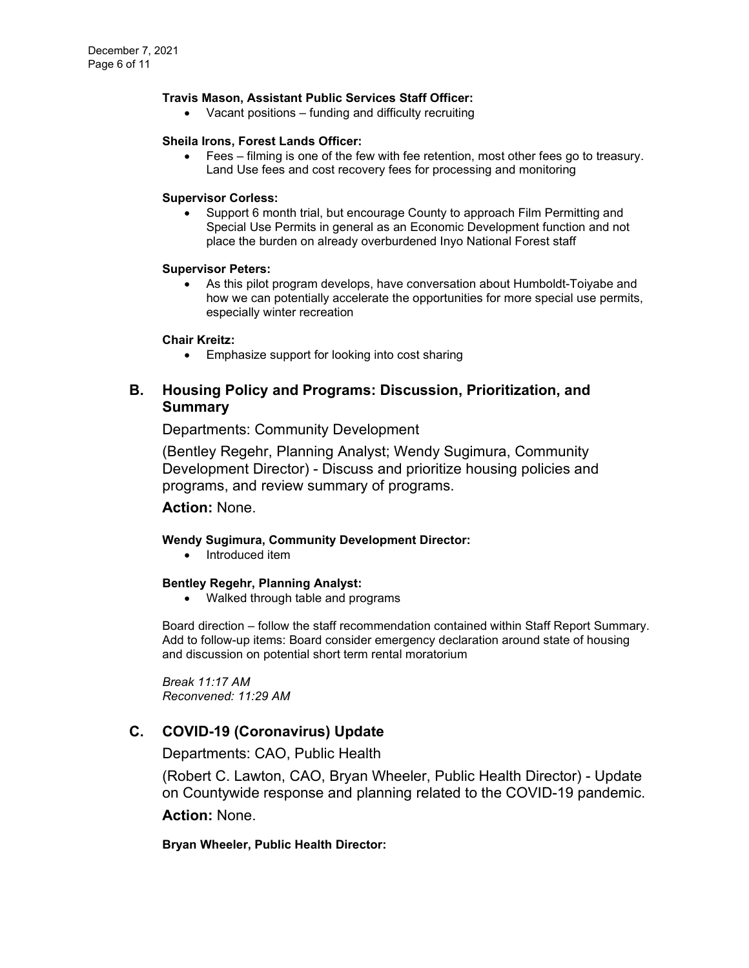#### **Travis Mason, Assistant Public Services Staff Officer:**

• Vacant positions – funding and difficulty recruiting

#### **Sheila Irons, Forest Lands Officer:**

• Fees – filming is one of the few with fee retention, most other fees go to treasury. Land Use fees and cost recovery fees for processing and monitoring

#### **Supervisor Corless:**

• Support 6 month trial, but encourage County to approach Film Permitting and Special Use Permits in general as an Economic Development function and not place the burden on already overburdened Inyo National Forest staff

#### **Supervisor Peters:**

• As this pilot program develops, have conversation about Humboldt-Toiyabe and how we can potentially accelerate the opportunities for more special use permits, especially winter recreation

#### **Chair Kreitz:**

• Emphasize support for looking into cost sharing

### **B. [Housing Policy and Programs: Discussion, Prioritization, and](https://agenda.mono.ca.gov/AgendaWeb/CoverSheet.aspx?ItemID=13707&MeetingID=811)  [Summary](https://agenda.mono.ca.gov/AgendaWeb/CoverSheet.aspx?ItemID=13707&MeetingID=811)**

### Departments: Community Development

(Bentley Regehr, Planning Analyst; Wendy Sugimura, Community Development Director) - Discuss and prioritize housing policies and programs, and review summary of programs.

#### **Action:** None.

#### **Wendy Sugimura, Community Development Director:**

• Introduced item

#### **Bentley Regehr, Planning Analyst:**

• Walked through table and programs

Board direction – follow the staff recommendation contained within Staff Report Summary. Add to follow-up items: Board consider emergency declaration around state of housing and discussion on potential short term rental moratorium

*Break 11:17 AM Reconvened: 11:29 AM*

## **C. [COVID-19 \(Coronavirus\) Update](https://agenda.mono.ca.gov/AgendaWeb/CoverSheet.aspx?ItemID=13763&MeetingID=811)**

Departments: CAO, Public Health

(Robert C. Lawton, CAO, Bryan Wheeler, Public Health Director) - Update on Countywide response and planning related to the COVID-19 pandemic.

**Action:** None.

#### **Bryan Wheeler, Public Health Director:**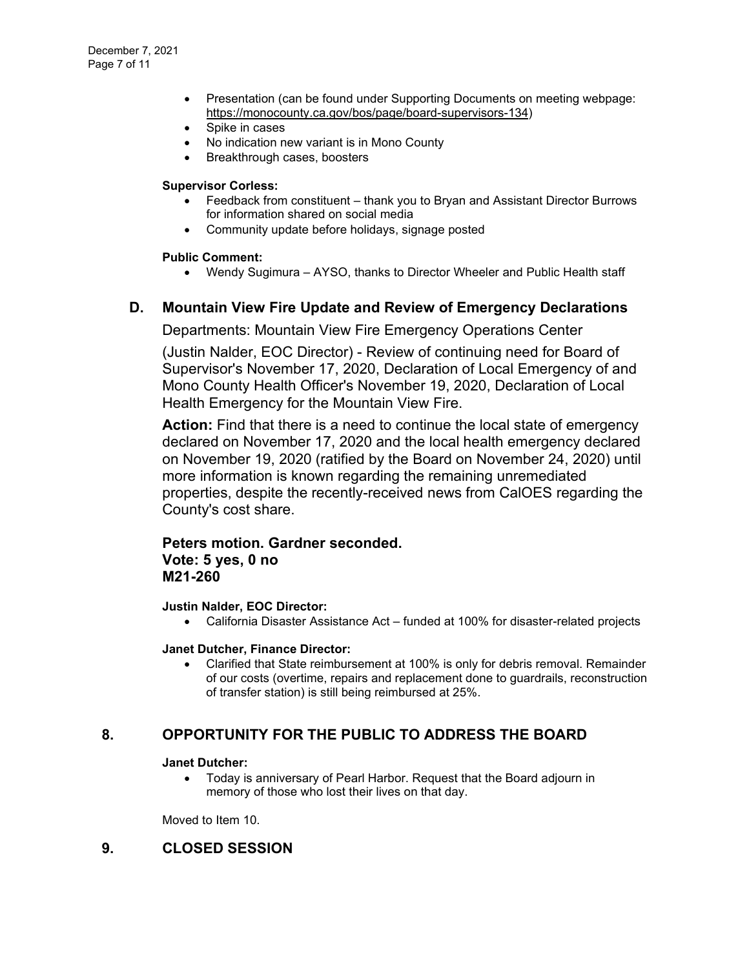- Presentation (can be found under Supporting Documents on meeting webpage: [https://monocounty.ca.gov/bos/page/board-supervisors-134\)](https://monocounty.ca.gov/bos/page/board-supervisors-134)
- Spike in cases
- No indication new variant is in Mono County
- Breakthrough cases, boosters

#### **Supervisor Corless:**

- Feedback from constituent thank you to Bryan and Assistant Director Burrows for information shared on social media
- Community update before holidays, signage posted

### **Public Comment:**

• Wendy Sugimura – AYSO, thanks to Director Wheeler and Public Health staff

## **D. [Mountain View Fire Update and Review of Emergency Declarations](https://agenda.mono.ca.gov/AgendaWeb/CoverSheet.aspx?ItemID=13666&MeetingID=811)**

Departments: Mountain View Fire Emergency Operations Center

(Justin Nalder, EOC Director) - Review of continuing need for Board of Supervisor's November 17, 2020, Declaration of Local Emergency of and Mono County Health Officer's November 19, 2020, Declaration of Local Health Emergency for the Mountain View Fire.

**Action:** Find that there is a need to continue the local state of emergency declared on November 17, 2020 and the local health emergency declared on November 19, 2020 (ratified by the Board on November 24, 2020) until more information is known regarding the remaining unremediated properties, despite the recently-received news from CalOES regarding the County's cost share.

### **Peters motion. Gardner seconded. Vote: 5 yes, 0 no M21-260**

#### **Justin Nalder, EOC Director:**

• California Disaster Assistance Act – funded at 100% for disaster-related projects

#### **Janet Dutcher, Finance Director:**

• Clarified that State reimbursement at 100% is only for debris removal. Remainder of our costs (overtime, repairs and replacement done to guardrails, reconstruction of transfer station) is still being reimbursed at 25%.

## **8. OPPORTUNITY FOR THE PUBLIC TO ADDRESS THE BOARD**

**Janet Dutcher:**

• Today is anniversary of Pearl Harbor. Request that the Board adjourn in memory of those who lost their lives on that day.

Moved to Item 10.

### **9. CLOSED SESSION**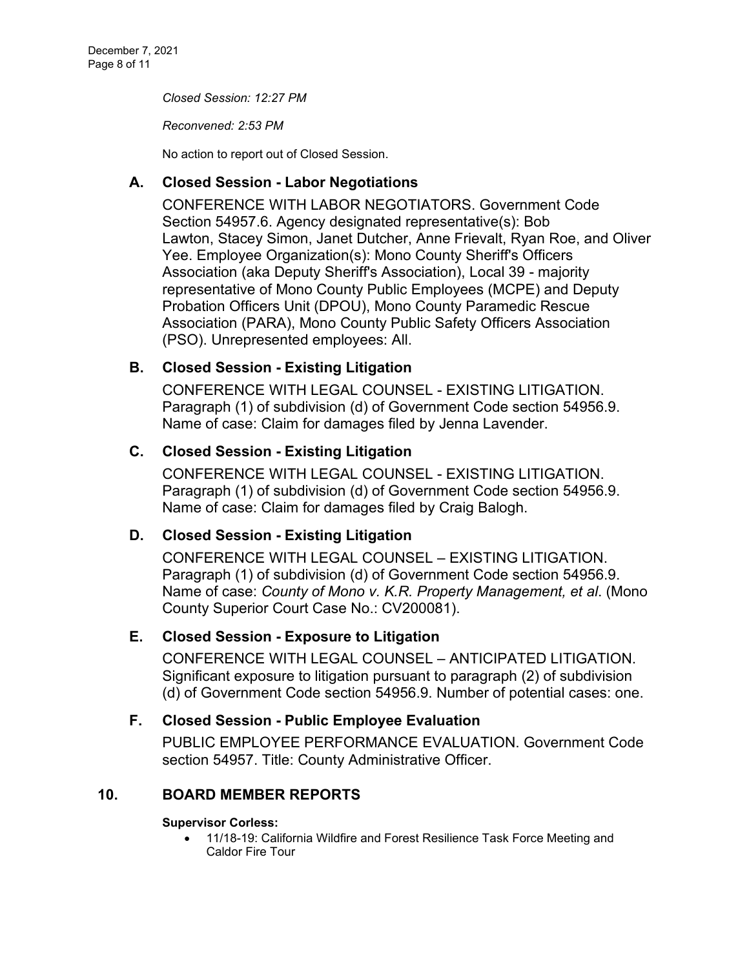*Closed Session: 12:27 PM* 

*Reconvened: 2:53 PM*

No action to report out of Closed Session.

# **A. Closed Session - [Labor Negotiations](https://agenda.mono.ca.gov/AgendaWeb/CoverSheet.aspx?ItemID=13762&MeetingID=811)**

CONFERENCE WITH LABOR NEGOTIATORS. Government Code Section 54957.6. Agency designated representative(s): Bob Lawton, Stacey Simon, Janet Dutcher, Anne Frievalt, Ryan Roe, and Oliver Yee. Employee Organization(s): Mono County Sheriff's Officers Association (aka Deputy Sheriff's Association), Local 39 - majority representative of Mono County Public Employees (MCPE) and Deputy Probation Officers Unit (DPOU), Mono County Paramedic Rescue Association (PARA), Mono County Public Safety Officers Association (PSO). Unrepresented employees: All.

# **B. Closed Session - [Existing Litigation](https://agenda.mono.ca.gov/AgendaWeb/CoverSheet.aspx?ItemID=13744&MeetingID=811)**

CONFERENCE WITH LEGAL COUNSEL - EXISTING LITIGATION. Paragraph (1) of subdivision (d) of Government Code section 54956.9. Name of case: Claim for damages filed by Jenna Lavender.

# **C. Closed Session - [Existing Litigation](https://agenda.mono.ca.gov/AgendaWeb/CoverSheet.aspx?ItemID=13745&MeetingID=811)**

CONFERENCE WITH LEGAL COUNSEL - EXISTING LITIGATION. Paragraph (1) of subdivision (d) of Government Code section 54956.9. Name of case: Claim for damages filed by Craig Balogh.

# **D. Closed Session - [Existing Litigation](https://agenda.mono.ca.gov/AgendaWeb/CoverSheet.aspx?ItemID=13793&MeetingID=811)**

CONFERENCE WITH LEGAL COUNSEL – EXISTING LITIGATION. Paragraph (1) of subdivision (d) of Government Code section 54956.9. Name of case: *County of Mono v. K.R. Property Management, et al*. (Mono County Superior Court Case No.: CV200081).

## **E. Closed Session - [Exposure to Litigation](https://agenda.mono.ca.gov/AgendaWeb/CoverSheet.aspx?ItemID=13800&MeetingID=811)**

CONFERENCE WITH LEGAL COUNSEL – ANTICIPATED LITIGATION. Significant exposure to litigation pursuant to paragraph (2) of subdivision (d) of Government Code section 54956.9. Number of potential cases: one.

# **F. Closed Session - [Public Employee Evaluation](https://agenda.mono.ca.gov/AgendaWeb/CoverSheet.aspx?ItemID=13781&MeetingID=811)**

PUBLIC EMPLOYEE PERFORMANCE EVALUATION. Government Code section 54957. Title: County Administrative Officer.

# **10. BOARD MEMBER REPORTS**

### **Supervisor Corless:**

• 11/18-19: California Wildfire and Forest Resilience Task Force Meeting and Caldor Fire Tour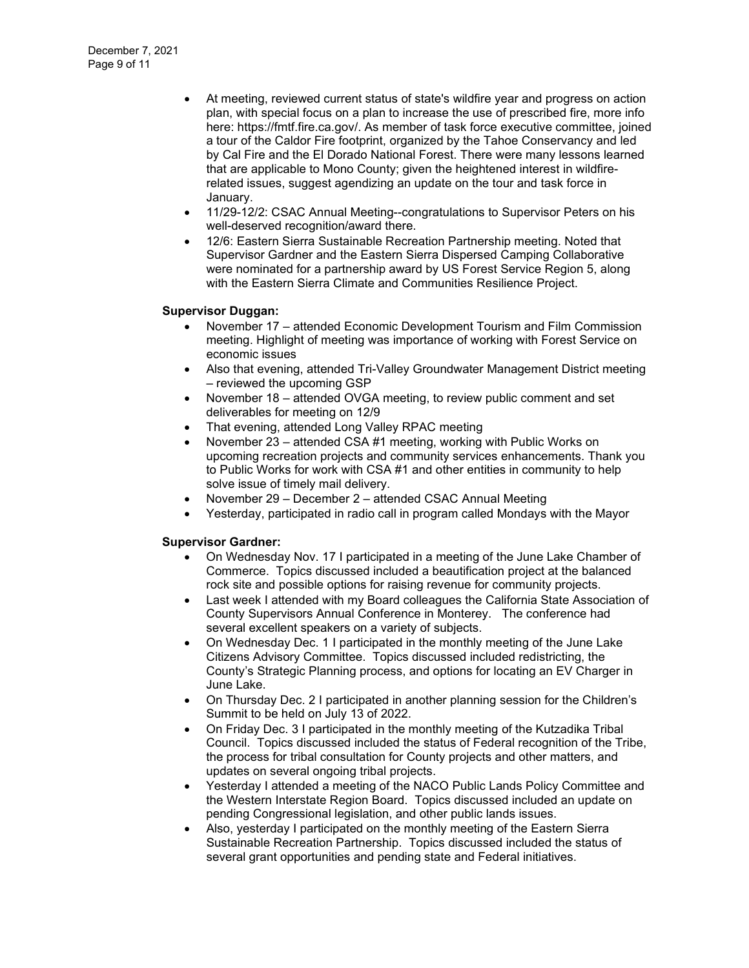- At meeting, reviewed current status of state's wildfire year and progress on action plan, with special focus on a plan to increase the use of prescribed fire, more info here: https://fmtf.fire.ca.gov/. As member of task force executive committee, joined a tour of the Caldor Fire footprint, organized by the Tahoe Conservancy and led by Cal Fire and the El Dorado National Forest. There were many lessons learned that are applicable to Mono County; given the heightened interest in wildfirerelated issues, suggest agendizing an update on the tour and task force in January.
- 11/29-12/2: CSAC Annual Meeting--congratulations to Supervisor Peters on his well-deserved recognition/award there.
- 12/6: Eastern Sierra Sustainable Recreation Partnership meeting. Noted that Supervisor Gardner and the Eastern Sierra Dispersed Camping Collaborative were nominated for a partnership award by US Forest Service Region 5, along with the Eastern Sierra Climate and Communities Resilience Project.

#### **Supervisor Duggan:**

- November 17 attended Economic Development Tourism and Film Commission meeting. Highlight of meeting was importance of working with Forest Service on economic issues
- Also that evening, attended Tri-Valley Groundwater Management District meeting – reviewed the upcoming GSP
- November 18 attended OVGA meeting, to review public comment and set deliverables for meeting on 12/9
- That evening, attended Long Valley RPAC meeting
- November 23 attended CSA #1 meeting, working with Public Works on upcoming recreation projects and community services enhancements. Thank you to Public Works for work with CSA #1 and other entities in community to help solve issue of timely mail delivery.
- November 29 December 2 attended CSAC Annual Meeting
- Yesterday, participated in radio call in program called Mondays with the Mayor

#### **Supervisor Gardner:**

- On Wednesday Nov. 17 I participated in a meeting of the June Lake Chamber of Commerce. Topics discussed included a beautification project at the balanced rock site and possible options for raising revenue for community projects.
- Last week I attended with my Board colleagues the California State Association of County Supervisors Annual Conference in Monterey. The conference had several excellent speakers on a variety of subjects.
- On Wednesday Dec. 1 I participated in the monthly meeting of the June Lake Citizens Advisory Committee. Topics discussed included redistricting, the County's Strategic Planning process, and options for locating an EV Charger in June Lake.
- On Thursday Dec. 2 I participated in another planning session for the Children's Summit to be held on July 13 of 2022.
- On Friday Dec. 3 I participated in the monthly meeting of the Kutzadika Tribal Council. Topics discussed included the status of Federal recognition of the Tribe, the process for tribal consultation for County projects and other matters, and updates on several ongoing tribal projects.
- Yesterday I attended a meeting of the NACO Public Lands Policy Committee and the Western Interstate Region Board. Topics discussed included an update on pending Congressional legislation, and other public lands issues.
- Also, yesterday I participated on the monthly meeting of the Eastern Sierra Sustainable Recreation Partnership. Topics discussed included the status of several grant opportunities and pending state and Federal initiatives.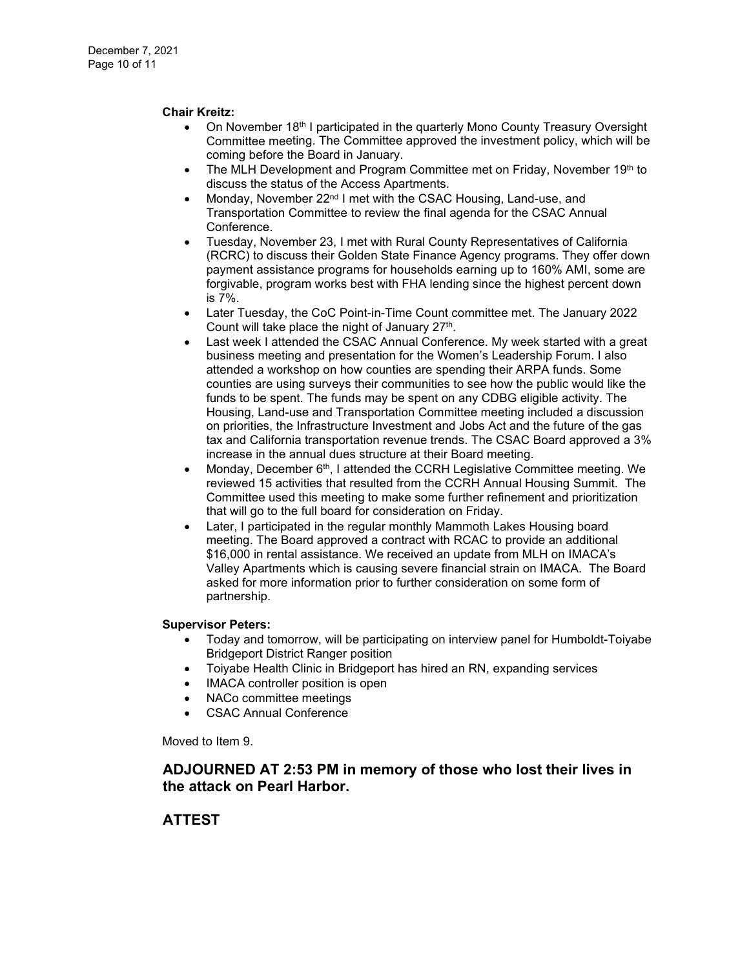#### **Chair Kreitz:**

- On November 18th I participated in the quarterly Mono County Treasury Oversight Committee meeting. The Committee approved the investment policy, which will be coming before the Board in January.
- The MLH Development and Program Committee met on Friday, November 19th to discuss the status of the Access Apartments.
- Monday, November 22<sup>nd</sup> I met with the CSAC Housing, Land-use, and Transportation Committee to review the final agenda for the CSAC Annual Conference.
- Tuesday, November 23, I met with Rural County Representatives of California (RCRC) to discuss their Golden State Finance Agency programs. They offer down payment assistance programs for households earning up to 160% AMI, some are forgivable, program works best with FHA lending since the highest percent down is 7%.
- Later Tuesday, the CoC Point-in-Time Count committee met. The January 2022 Count will take place the night of January  $27<sup>th</sup>$ .
- Last week I attended the CSAC Annual Conference. My week started with a great business meeting and presentation for the Women's Leadership Forum. I also attended a workshop on how counties are spending their ARPA funds. Some counties are using surveys their communities to see how the public would like the funds to be spent. The funds may be spent on any CDBG eligible activity. The Housing, Land-use and Transportation Committee meeting included a discussion on priorities, the Infrastructure Investment and Jobs Act and the future of the gas tax and California transportation revenue trends. The CSAC Board approved a 3% increase in the annual dues structure at their Board meeting.
- Monday, December  $6<sup>th</sup>$ , I attended the CCRH Legislative Committee meeting. We reviewed 15 activities that resulted from the CCRH Annual Housing Summit. The Committee used this meeting to make some further refinement and prioritization that will go to the full board for consideration on Friday.
- Later, I participated in the regular monthly Mammoth Lakes Housing board meeting. The Board approved a contract with RCAC to provide an additional \$16,000 in rental assistance. We received an update from MLH on IMACA's Valley Apartments which is causing severe financial strain on IMACA. The Board asked for more information prior to further consideration on some form of partnership.

#### **Supervisor Peters:**

- Today and tomorrow, will be participating on interview panel for Humboldt-Toiyabe Bridgeport District Ranger position
- Toiyabe Health Clinic in Bridgeport has hired an RN, expanding services
- IMACA controller position is open
- NACo committee meetings
- CSAC Annual Conference

Moved to Item 9.

## **ADJOURNED AT 2:53 PM in memory of those who lost their lives in the attack on Pearl Harbor.**

## **ATTEST**